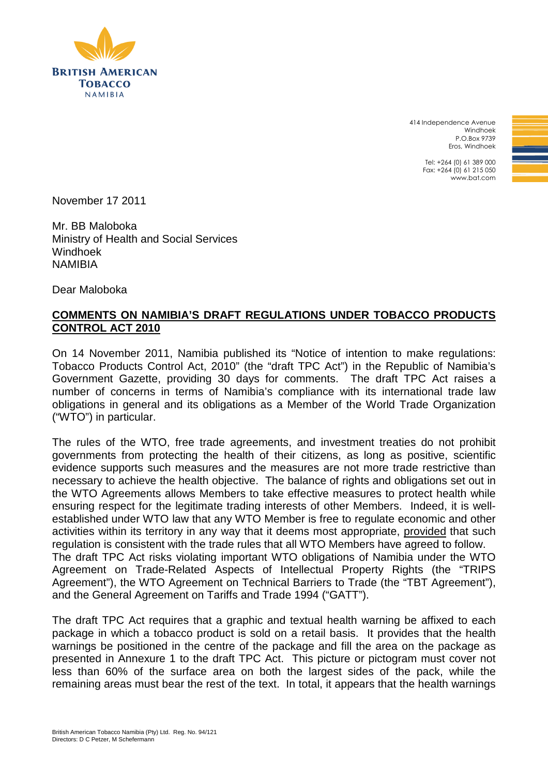

414 Independence Avenue Windhoek P.O.Box 9739 Eros, Windhoek

> Tel: +264 (0) 61 389 000 Fax: +264 (0) 61 215 050 www.bat.com

November 17 2011

Mr. BB Maloboka Ministry of Health and Social Services Windhoek **NAMIRIA** 

Dear Maloboka

## **COMMENTS ON NAMIBIA'S DRAFT REGULATIONS UNDER TOBACCO PRODUCTS CONTROL ACT 2010**

On 14 November 2011, Namibia published its "Notice of intention to make regulations: Tobacco Products Control Act, 2010" (the "draft TPC Act") in the Republic of Namibia's Government Gazette, providing 30 days for comments. The draft TPC Act raises a number of concerns in terms of Namibia's compliance with its international trade law obligations in general and its obligations as a Member of the World Trade Organization ("WTO") in particular.

The rules of the WTO, free trade agreements, and investment treaties do not prohibit governments from protecting the health of their citizens, as long as positive, scientific evidence supports such measures and the measures are not more trade restrictive than necessary to achieve the health objective. The balance of rights and obligations set out in the WTO Agreements allows Members to take effective measures to protect health while ensuring respect for the legitimate trading interests of other Members. Indeed, it is wellestablished under WTO law that any WTO Member is free to regulate economic and other activities within its territory in any way that it deems most appropriate, provided that such regulation is consistent with the trade rules that all WTO Members have agreed to follow. The draft TPC Act risks violating important WTO obligations of Namibia under the WTO Agreement on Trade-Related Aspects of Intellectual Property Rights (the "TRIPS Agreement"), the WTO Agreement on Technical Barriers to Trade (the "TBT Agreement"), and the General Agreement on Tariffs and Trade 1994 ("GATT").

The draft TPC Act requires that a graphic and textual health warning be affixed to each package in which a tobacco product is sold on a retail basis. It provides that the health warnings be positioned in the centre of the package and fill the area on the package as presented in Annexure 1 to the draft TPC Act. This picture or pictogram must cover not less than 60% of the surface area on both the largest sides of the pack, while the remaining areas must bear the rest of the text. In total, it appears that the health warnings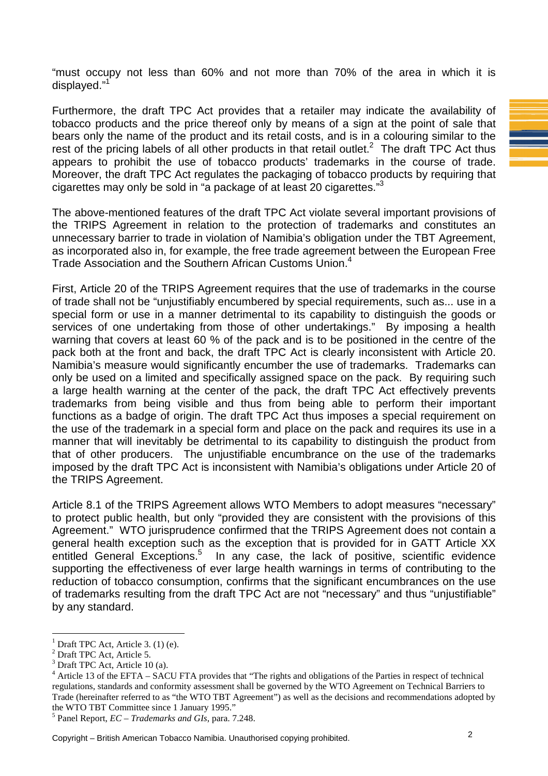"must occupy not less than 60% and not more than 70% of the area in which it is displayed."<sup>1</sup>

Furthermore, the draft TPC Act provides that a retailer may indicate the availability of tobacco products and the price thereof only by means of a sign at the point of sale that bears only the name of the product and its retail costs, and is in a colouring similar to the rest of the pricing labels of all other products in that retail outlet.<sup>2</sup> The draft TPC Act thus appears to prohibit the use of tobacco products' trademarks in the course of trade. Moreover, the draft TPC Act regulates the packaging of tobacco products by requiring that cigarettes may only be sold in "a package of at least 20 cigarettes."<sup>3</sup>

The above-mentioned features of the draft TPC Act violate several important provisions of the TRIPS Agreement in relation to the protection of trademarks and constitutes an unnecessary barrier to trade in violation of Namibia's obligation under the TBT Agreement, as incorporated also in, for example, the free trade agreement between the European Free Trade Association and the Southern African Customs Union.<sup>4</sup>

First, Article 20 of the TRIPS Agreement requires that the use of trademarks in the course of trade shall not be "unjustifiably encumbered by special requirements, such as... use in a special form or use in a manner detrimental to its capability to distinguish the goods or services of one undertaking from those of other undertakings." By imposing a health warning that covers at least 60 % of the pack and is to be positioned in the centre of the pack both at the front and back, the draft TPC Act is clearly inconsistent with Article 20. Namibia's measure would significantly encumber the use of trademarks. Trademarks can only be used on a limited and specifically assigned space on the pack. By requiring such a large health warning at the center of the pack, the draft TPC Act effectively prevents trademarks from being visible and thus from being able to perform their important functions as a badge of origin. The draft TPC Act thus imposes a special requirement on the use of the trademark in a special form and place on the pack and requires its use in a manner that will inevitably be detrimental to its capability to distinguish the product from that of other producers. The unjustifiable encumbrance on the use of the trademarks imposed by the draft TPC Act is inconsistent with Namibia's obligations under Article 20 of the TRIPS Agreement.

Article 8.1 of the TRIPS Agreement allows WTO Members to adopt measures "necessary" to protect public health, but only "provided they are consistent with the provisions of this Agreement." WTO jurisprudence confirmed that the TRIPS Agreement does not contain a general health exception such as the exception that is provided for in GATT Article XX entitled General Exceptions.<sup>5</sup> In any case, the lack of positive, scientific evidence supporting the effectiveness of ever large health warnings in terms of contributing to the reduction of tobacco consumption, confirms that the significant encumbrances on the use of trademarks resulting from the draft TPC Act are not "necessary" and thus "unjustifiable" by any standard.

 $\overline{a}$ 

Copyright – British American Tobacco Namibia. Unauthorised copying prohibited. 2

<sup>1</sup> Draft TPC Act, Article 3. (1) (e).

<sup>&</sup>lt;sup>2</sup> Draft TPC Act, Article 5.

<sup>3</sup> Draft TPC Act, Article 10 (a).

<sup>&</sup>lt;sup>4</sup> Article 13 of the EFTA – SACU FTA provides that "The rights and obligations of the Parties in respect of technical regulations, standards and conformity assessment shall be governed by the WTO Agreement on Technical Barriers to Trade (hereinafter referred to as "the WTO TBT Agreement") as well as the decisions and recommendations adopted by the WTO TBT Committee since 1 January 1995."

<sup>5</sup> Panel Report, *EC – Trademarks and GIs*, para. 7.248.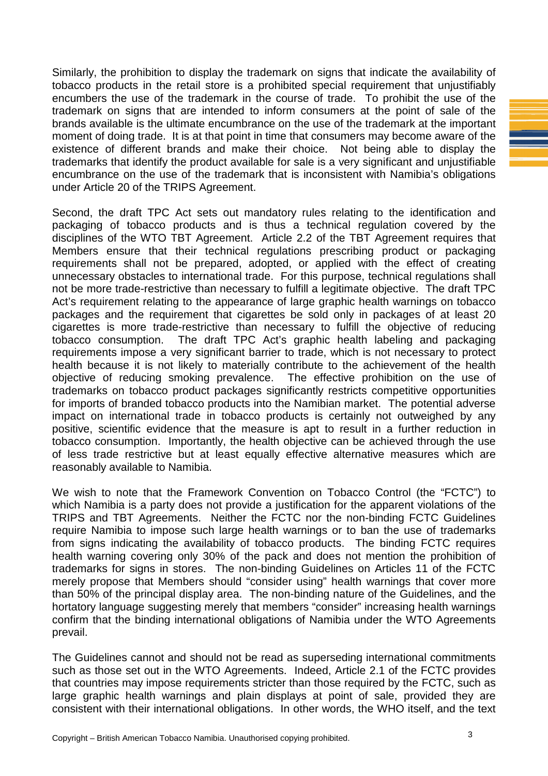Similarly, the prohibition to display the trademark on signs that indicate the availability of tobacco products in the retail store is a prohibited special requirement that unjustifiably encumbers the use of the trademark in the course of trade. To prohibit the use of the trademark on signs that are intended to inform consumers at the point of sale of the brands available is the ultimate encumbrance on the use of the trademark at the important moment of doing trade. It is at that point in time that consumers may become aware of the existence of different brands and make their choice. Not being able to display the trademarks that identify the product available for sale is a very significant and unjustifiable encumbrance on the use of the trademark that is inconsistent with Namibia's obligations under Article 20 of the TRIPS Agreement.

Second, the draft TPC Act sets out mandatory rules relating to the identification and packaging of tobacco products and is thus a technical regulation covered by the disciplines of the WTO TBT Agreement. Article 2.2 of the TBT Agreement requires that Members ensure that their technical regulations prescribing product or packaging requirements shall not be prepared, adopted, or applied with the effect of creating unnecessary obstacles to international trade. For this purpose, technical regulations shall not be more trade-restrictive than necessary to fulfill a legitimate objective. The draft TPC Act's requirement relating to the appearance of large graphic health warnings on tobacco packages and the requirement that cigarettes be sold only in packages of at least 20 cigarettes is more trade-restrictive than necessary to fulfill the objective of reducing tobacco consumption. The draft TPC Act's graphic health labeling and packaging requirements impose a very significant barrier to trade, which is not necessary to protect health because it is not likely to materially contribute to the achievement of the health objective of reducing smoking prevalence. The effective prohibition on the use of trademarks on tobacco product packages significantly restricts competitive opportunities for imports of branded tobacco products into the Namibian market. The potential adverse impact on international trade in tobacco products is certainly not outweighed by any positive, scientific evidence that the measure is apt to result in a further reduction in tobacco consumption. Importantly, the health objective can be achieved through the use of less trade restrictive but at least equally effective alternative measures which are reasonably available to Namibia.

We wish to note that the Framework Convention on Tobacco Control (the "FCTC") to which Namibia is a party does not provide a justification for the apparent violations of the TRIPS and TBT Agreements. Neither the FCTC nor the non-binding FCTC Guidelines require Namibia to impose such large health warnings or to ban the use of trademarks from signs indicating the availability of tobacco products. The binding FCTC requires health warning covering only 30% of the pack and does not mention the prohibition of trademarks for signs in stores. The non-binding Guidelines on Articles 11 of the FCTC merely propose that Members should "consider using" health warnings that cover more than 50% of the principal display area. The non-binding nature of the Guidelines, and the hortatory language suggesting merely that members "consider" increasing health warnings confirm that the binding international obligations of Namibia under the WTO Agreements prevail.

The Guidelines cannot and should not be read as superseding international commitments such as those set out in the WTO Agreements. Indeed, Article 2.1 of the FCTC provides that countries may impose requirements stricter than those required by the FCTC, such as large graphic health warnings and plain displays at point of sale, provided they are consistent with their international obligations. In other words, the WHO itself, and the text